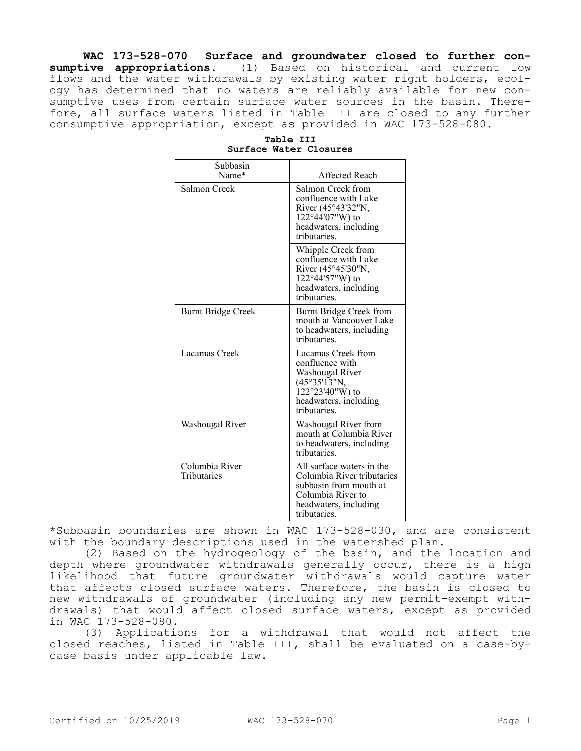**WAC 173-528-070 Surface and groundwater closed to further consumptive appropriations.** (1) Based on historical and current low flows and the water withdrawals by existing water right holders, ecology has determined that no waters are reliably available for new consumptive uses from certain surface water sources in the basin. Therefore, all surface waters listed in Table III are closed to any further consumptive appropriation, except as provided in WAC 173-528-080.

| Subbasin<br>Name*             |                                                                                                                                                 |
|-------------------------------|-------------------------------------------------------------------------------------------------------------------------------------------------|
|                               | Affected Reach                                                                                                                                  |
| Salmon Creek                  | Salmon Creek from<br>confluence with Lake<br>River (45°43'32"N,<br>$122^{\circ}44'07''W$ ) to<br>headwaters, including<br>tributaries.          |
|                               | Whipple Creek from<br>confluence with Lake<br>River (45°45'30"N,<br>$122^{\circ}44'57''W$ ) to<br>headwaters, including<br>tributaries.         |
| <b>Burnt Bridge Creek</b>     | Burnt Bridge Creek from<br>mouth at Vancouver Lake<br>to headwaters, including<br>tributaries.                                                  |
| Lacamas Creek                 | Lacamas Creek from<br>confluence with<br>Washougal River<br>(45°35'13"N,<br>$122^{\circ}23'40''W$ ) to<br>headwaters, including<br>tributaries. |
| Washougal River               | Washougal River from<br>mouth at Columbia River<br>to headwaters, including<br>tributaries.                                                     |
| Columbia River<br>Tributaries | All surface waters in the<br>Columbia River tributaries<br>subbasin from mouth at<br>Columbia River to<br>headwaters, including<br>tributaries. |

**Table III Surface Water Closures**

\*Subbasin boundaries are shown in WAC 173-528-030, and are consistent with the boundary descriptions used in the watershed plan.

(2) Based on the hydrogeology of the basin, and the location and depth where groundwater withdrawals generally occur, there is a high likelihood that future groundwater withdrawals would capture water that affects closed surface waters. Therefore, the basin is closed to new withdrawals of groundwater (including any new permit-exempt withdrawals) that would affect closed surface waters, except as provided in WAC 173-528-080.

(3) Applications for a withdrawal that would not affect the closed reaches, listed in Table III, shall be evaluated on a case-bycase basis under applicable law.